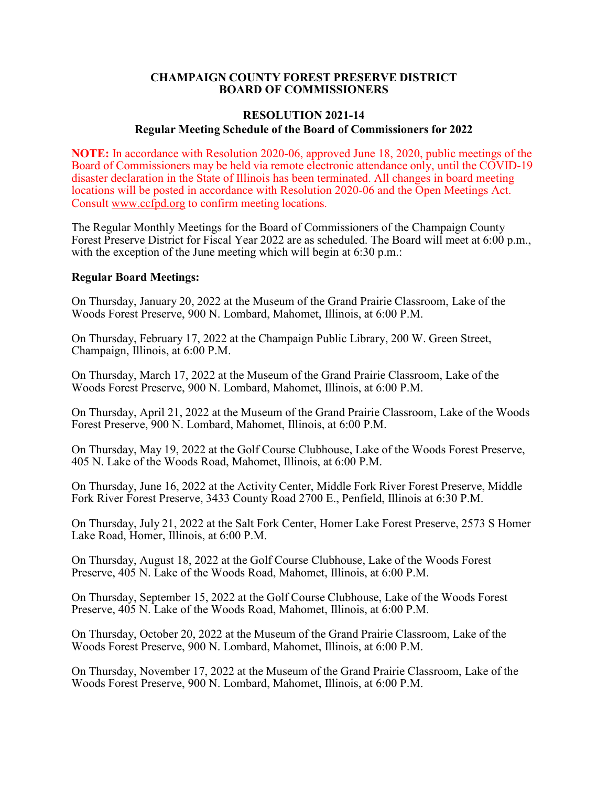#### **CHAMPAIGN COUNTY FOREST PRESERVE DISTRICT BOARD OF COMMISSIONERS**

# **RESOLUTION 2021-14 Regular Meeting Schedule of the Board of Commissioners for 2022**

**NOTE:** In accordance with Resolution 2020-06, approved June 18, 2020, public meetings of the Board of Commissioners may be held via remote electronic attendance only, until the COVID-19 disaster declaration in the State of Illinois has been terminated. All changes in board meeting locations will be posted in accordance with Resolution 2020-06 and the Open Meetings Act. Consult [www.ccfpd.org](https://www.ccfpd.org/About/Notices-and-Documents/board-meetings-overview) to confirm meeting locations.

The Regular Monthly Meetings for the Board of Commissioners of the Champaign County Forest Preserve District for Fiscal Year 2022 are as scheduled. The Board will meet at 6:00 p.m., with the exception of the June meeting which will begin at 6:30 p.m.:

## **Regular Board Meetings:**

On Thursday, January 20, 2022 at the Museum of the Grand Prairie Classroom, Lake of the Woods Forest Preserve, 900 N. Lombard, Mahomet, Illinois, at 6:00 P.M.

On Thursday, February 17, 2022 at the Champaign Public Library, 200 W. Green Street, Champaign, Illinois, at 6:00 P.M.

On Thursday, March 17, 2022 at the Museum of the Grand Prairie Classroom, Lake of the Woods Forest Preserve, 900 N. Lombard, Mahomet, Illinois, at 6:00 P.M.

On Thursday, April 21, 2022 at the Museum of the Grand Prairie Classroom, Lake of the Woods Forest Preserve, 900 N. Lombard, Mahomet, Illinois, at 6:00 P.M.

On Thursday, May 19, 2022 at the Golf Course Clubhouse, Lake of the Woods Forest Preserve, 405 N. Lake of the Woods Road, Mahomet, Illinois, at 6:00 P.M.

On Thursday, June 16, 2022 at the Activity Center, Middle Fork River Forest Preserve, Middle Fork River Forest Preserve, 3433 County Road 2700 E., Penfield, Illinois at 6:30 P.M.

On Thursday, July 21, 2022 at the Salt Fork Center, Homer Lake Forest Preserve, 2573 S Homer Lake Road, Homer, Illinois, at 6:00 P.M.

On Thursday, August 18, 2022 at the Golf Course Clubhouse, Lake of the Woods Forest Preserve, 405 N. Lake of the Woods Road, Mahomet, Illinois, at 6:00 P.M.

On Thursday, September 15, 2022 at the Golf Course Clubhouse, Lake of the Woods Forest Preserve, 405 N. Lake of the Woods Road, Mahomet, Illinois, at 6:00 P.M.

On Thursday, October 20, 2022 at the Museum of the Grand Prairie Classroom, Lake of the Woods Forest Preserve, 900 N. Lombard, Mahomet, Illinois, at 6:00 P.M.

On Thursday, November 17, 2022 at the Museum of the Grand Prairie Classroom, Lake of the Woods Forest Preserve, 900 N. Lombard, Mahomet, Illinois, at 6:00 P.M.